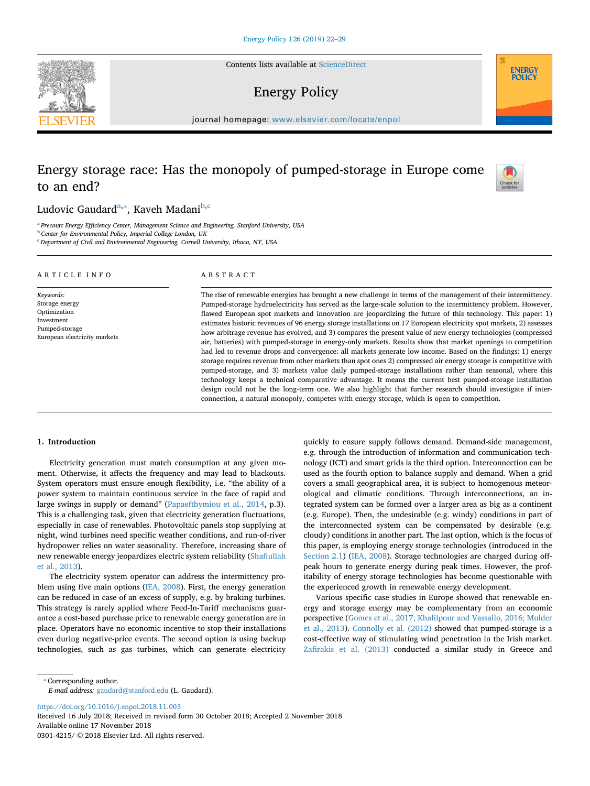Contents lists available at [ScienceDirect](http://www.sciencedirect.com/science/journal/03014215)

# Energy Policy

journal homepage: [www.elsevier.com/locate/enpol](https://www.elsevier.com/locate/enpol)

# Energy storage race: Has the monopoly of pumped-storage in Europe come to an end?

Ludovic Gau[da](#page-0-0)rd<sup>a,</sup>\*, Kaveh Madani<sup>[b](#page-0-2)[,c](#page-0-3)</sup>

<span id="page-0-0"></span><sup>a</sup> *Precourt Energy Efficiency Center, Management Science and Engineering, Stanford University, USA*

<span id="page-0-2"></span><sup>b</sup> *Center for Environmental Policy, Imperial College London, UK*

<span id="page-0-3"></span><sup>c</sup> *Department of Civil and Environmental Engineering, Cornell University, Ithaca, NY, USA*

## ARTICLE INFO

*Keywords:* Storage energy Optimization Investment Pumped-storage European electricity markets

#### ABSTRACT

The rise of renewable energies has brought a new challenge in terms of the management of their intermittency. Pumped-storage hydroelectricity has served as the large-scale solution to the intermittency problem. However, flawed European spot markets and innovation are jeopardizing the future of this technology. This paper: 1) estimates historic revenues of 96 energy storage installations on 17 European electricity spot markets, 2) assesses how arbitrage revenue has evolved, and 3) compares the present value of new energy technologies (compressed air, batteries) with pumped-storage in energy-only markets. Results show that market openings to competition had led to revenue drops and convergence: all markets generate low income. Based on the findings: 1) energy storage requires revenue from other markets than spot ones 2) compressed air energy storage is competitive with pumped-storage, and 3) markets value daily pumped-storage installations rather than seasonal, where this technology keeps a technical comparative advantage. It means the current best pumped-storage installation design could not be the long-term one. We also highlight that further research should investigate if interconnection, a natural monopoly, competes with energy storage, which is open to competition.

## **1. Introduction**

Electricity generation must match consumption at any given moment. Otherwise, it affects the frequency and may lead to blackouts. System operators must ensure enough flexibility, i.e. "the ability of a power system to maintain continuous service in the face of rapid and large swings in supply or demand" [\(Papaefthymiou et al., 2014](#page-6-0), p.3). This is a challenging task, given that electricity generation fluctuations, especially in case of renewables. Photovoltaic panels stop supplying at night, wind turbines need specific weather conditions, and run-of-river hydropower relies on water seasonality. Therefore, increasing share of new renewable energy jeopardizes electric system reliability ([Shafiullah](#page-7-0) [et al., 2013](#page-7-0)).

The electricity system operator can address the intermittency problem using five main options ([IEA, 2008](#page-6-1)). First, the energy generation can be reduced in case of an excess of supply, e.g. by braking turbines. This strategy is rarely applied where Feed-In-Tariff mechanisms guarantee a cost-based purchase price to renewable energy generation are in place. Operators have no economic incentive to stop their installations even during negative-price events. The second option is using backup technologies, such as gas turbines, which can generate electricity

quickly to ensure supply follows demand. Demand-side management, e.g. through the introduction of information and communication technology (ICT) and smart grids is the third option. Interconnection can be used as the fourth option to balance supply and demand. When a grid covers a small geographical area, it is subject to homogenous meteorological and climatic conditions. Through interconnections, an integrated system can be formed over a larger area as big as a continent (e.g. Europe). Then, the undesirable (e.g. windy) conditions in part of the interconnected system can be compensated by desirable (e.g. cloudy) conditions in another part. The last option, which is the focus of this paper, is employing energy storage technologies (introduced in the [Section 2.1](#page-1-0)) [\(IEA, 2008\)](#page-6-1). Storage technologies are charged during offpeak hours to generate energy during peak times. However, the profitability of energy storage technologies has become questionable with the experienced growth in renewable energy development.

Various specific case studies in Europe showed that renewable energy and storage energy may be complementary from an economic perspective ([Gomes et al., 2017; Khalilpour and Vassallo, 2016; Mulder](#page-6-2) [et al., 2013\)](#page-6-2). [Connolly et al. \(2012\)](#page-6-3) showed that pumped-storage is a cost-effective way of stimulating wind penetration in the Irish market. [Zafirakis et al. \(2013\)](#page-7-1) conducted a similar study in Greece and

<span id="page-0-1"></span>⁎ Corresponding author. *E-mail address:* [gaudard@stanford.edu](mailto:gaudard@stanford.edu) (L. Gaudard).

<https://doi.org/10.1016/j.enpol.2018.11.003>

Received 16 July 2018; Received in revised form 30 October 2018; Accepted 2 November 2018 Available online 17 November 2018 0301-4215/ © 2018 Elsevier Ltd. All rights reserved.





**ENERGY**<br>POLICY

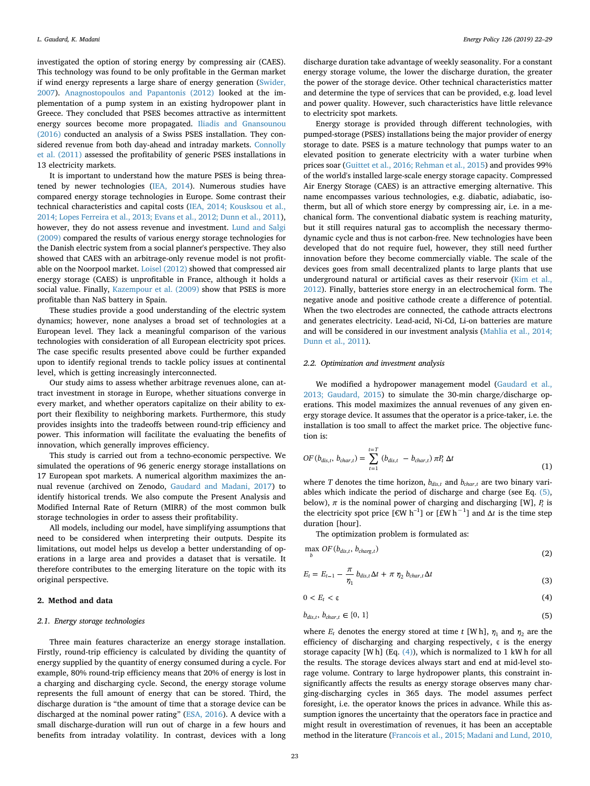investigated the option of storing energy by compressing air (CAES). This technology was found to be only profitable in the German market if wind energy represents a large share of energy generation [\(Swider,](#page-7-2) [2007\)](#page-7-2). [Anagnostopoulos and Papantonis \(2012\)](#page-6-4) looked at the implementation of a pump system in an existing hydropower plant in Greece. They concluded that PSES becomes attractive as intermittent energy sources become more propagated. [Iliadis and Gnansounou](#page-6-5) [\(2016\)](#page-6-5) conducted an analysis of a Swiss PSES installation. They considered revenue from both day-ahead and intraday markets. [Connolly](#page-6-6) [et al. \(2011\)](#page-6-6) assessed the profitability of generic PSES installations in 13 electricity markets.

It is important to understand how the mature PSES is being threatened by newer technologies ([IEA, 2014\)](#page-6-7). Numerous studies have compared energy storage technologies in Europe. Some contrast their technical characteristics and capital costs [\(IEA, 2014; Kousksou et al.,](#page-6-7) [2014; Lopes Ferreira et al., 2013; Evans et al., 2012; Dunn et al., 2011](#page-6-7)), however, they do not assess revenue and investment. [Lund and Salgi](#page-6-8) [\(2009\)](#page-6-8) compared the results of various energy storage technologies for the Danish electric system from a social planner's perspective. They also showed that CAES with an arbitrage-only revenue model is not profitable on the Noorpool market. [Loisel \(2012\)](#page-6-9) showed that compressed air energy storage (CAES) is unprofitable in France, although it holds a social value. Finally, [Kazempour et al. \(2009\)](#page-6-10) show that PSES is more profitable than NaS battery in Spain.

These studies provide a good understanding of the electric system dynamics; however, none analyses a broad set of technologies at a European level. They lack a meaningful comparison of the various technologies with consideration of all European electricity spot prices. The case specific results presented above could be further expanded upon to identify regional trends to tackle policy issues at continental level, which is getting increasingly interconnected.

Our study aims to assess whether arbitrage revenues alone, can attract investment in storage in Europe, whether situations converge in every market, and whether operators capitalize on their ability to export their flexibility to neighboring markets. Furthermore, this study provides insights into the tradeoffs between round-trip efficiency and power. This information will facilitate the evaluating the benefits of innovation, which generally improves efficiency.

This study is carried out from a techno-economic perspective. We simulated the operations of 96 generic energy storage installations on 17 European spot markets. A numerical algorithm maximizes the annual revenue (archived on Zenodo, [Gaudard and Madani, 2017\)](#page-6-11) to identify historical trends. We also compute the Present Analysis and Modified Internal Rate of Return (MIRR) of the most common bulk storage technologies in order to assess their profitability.

All models, including our model, have simplifying assumptions that need to be considered when interpreting their outputs. Despite its limitations, out model helps us develop a better understanding of operations in a large area and provides a dataset that is versatile. It therefore contributes to the emerging literature on the topic with its original perspective.

# **2. Method and data**

#### <span id="page-1-0"></span>*2.1. Energy storage technologies*

Three main features characterize an energy storage installation. Firstly, round-trip efficiency is calculated by dividing the quantity of energy supplied by the quantity of energy consumed during a cycle. For example, 80% round-trip efficiency means that 20% of energy is lost in a charging and discharging cycle. Second, the energy storage volume represents the full amount of energy that can be stored. Third, the discharge duration is "the amount of time that a storage device can be discharged at the nominal power rating" [\(ESA, 2016\)](#page-6-12). A device with a small discharge-duration will run out of charge in a few hours and benefits from intraday volatility. In contrast, devices with a long

discharge duration take advantage of weekly seasonality. For a constant energy storage volume, the lower the discharge duration, the greater the power of the storage device. Other technical characteristics matter and determine the type of services that can be provided, e.g. load level and power quality. However, such characteristics have little relevance to electricity spot markets.

Energy storage is provided through different technologies, with pumped-storage (PSES) installations being the major provider of energy storage to date. PSES is a mature technology that pumps water to an elevated position to generate electricity with a water turbine when prices soar [\(Guittet et al., 2016; Rehman et al., 2015\)](#page-6-13) and provides 99% of the world's installed large-scale energy storage capacity. Compressed Air Energy Storage (CAES) is an attractive emerging alternative. This name encompasses various technologies, e.g. diabatic, adiabatic, isotherm, but all of which store energy by compressing air, i.e. in a mechanical form. The conventional diabatic system is reaching maturity, but it still requires natural gas to accomplish the necessary thermodynamic cycle and thus is not carbon-free. New technologies have been developed that do not require fuel, however, they still need further innovation before they become commercially viable. The scale of the devices goes from small decentralized plants to large plants that use underground natural or artificial caves as their reservoir [\(Kim et al.,](#page-6-14) [2012\)](#page-6-14). Finally, batteries store energy in an electrochemical form. The negative anode and positive cathode create a difference of potential. When the two electrodes are connected, the cathode attracts electrons and generates electricity. Lead-acid, Ni-Cd, Li-on batteries are mature and will be considered in our investment analysis [\(Mahlia et al., 2014;](#page-6-15) [Dunn et al., 2011](#page-6-15)).

#### *2.2. Optimization and investment analysis*

We modified a hydropower management model [\(Gaudard et al.,](#page-6-16) [2013; Gaudard, 2015](#page-6-16)) to simulate the 30-min charge/discharge operations. This model maximizes the annual revenues of any given energy storage device. It assumes that the operator is a price-taker, i.e. the installation is too small to affect the market price. The objective function is:

$$
OF(b_{dis,t}, b_{char,t}) = \sum_{t=1}^{t=T} (b_{dis,t} - b_{char,t}) \pi R \Delta t
$$
 (1)

where  $T$  denotes the time horizon,  $b_{dis,t}$  and  $b_{char,t}$  are two binary variables which indicate the period of discharge and charge (see Eq. [\(5\)](#page-1-1), below),  $\pi$  is the nominal power of charging and discharging [W],  $P_t$  is the electricity spot price [€W h<sup>-1</sup>] or [£W h<sup>-1</sup>] and  $\Delta t$  is the time step duration [hour].

The optimization problem is formulated as:

$$
\max_{b} \, OF(b_{dis,t}, \, b_{charge,t}) \tag{2}
$$

$$
E_t = E_{t-1} - \frac{\pi}{\eta_1} b_{dis,t} \Delta t + \pi \eta_2 b_{char,t} \Delta t \tag{3}
$$

<span id="page-1-2"></span><span id="page-1-1"></span>
$$
0 < E_t < \epsilon \tag{4}
$$

$$
b_{dis,t}, b_{char,t} \in \{0, 1\} \tag{5}
$$

where  $E_t$  denotes the energy stored at time *t* [W h],  $\eta_1$  and  $\eta_2$  are the efficiency of discharging and charging respectively,  $\varepsilon$  is the energy storage capacity [W h] (Eq. [\(4\)\)](#page-1-2), which is normalized to 1 kW h for all the results. The storage devices always start and end at mid-level storage volume. Contrary to large hydropower plants, this constraint insignificantly affects the results as energy storage observes many charging-discharging cycles in 365 days. The model assumes perfect foresight, i.e. the operator knows the prices in advance. While this assumption ignores the uncertainty that the operators face in practice and might result in overestimation of revenues, it has been an acceptable method in the literature ([Francois et al., 2015; Madani and Lund, 2010,](#page-6-17)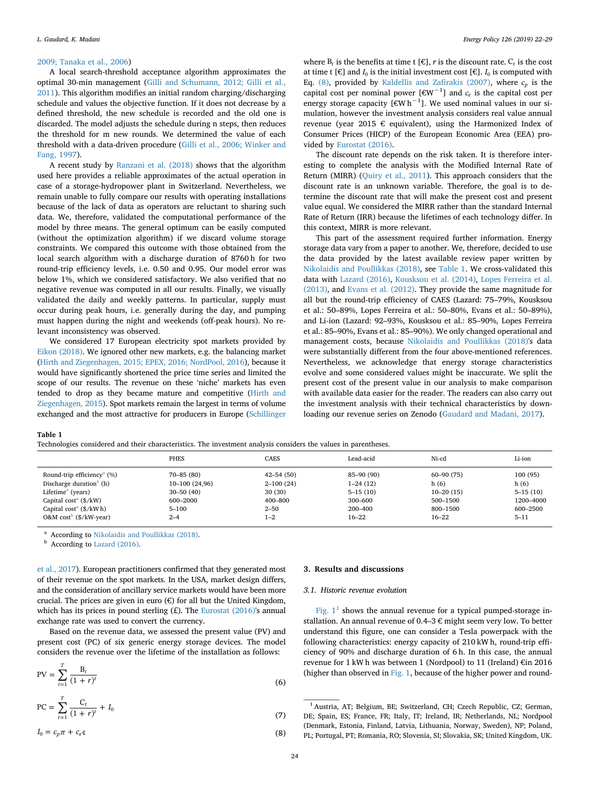#### [2009; Tanaka et al., 2006\)](#page-6-17)

A local search-threshold acceptance algorithm approximates the optimal 30-min management [\(Gilli and Schumann, 2012; Gilli et al.,](#page-6-18) [2011\)](#page-6-18). This algorithm modifies an initial random charging/discharging schedule and values the objective function. If it does not decrease by a defined threshold, the new schedule is recorded and the old one is discarded. The model adjusts the schedule during n steps, then reduces the threshold for m new rounds. We determined the value of each threshold with a data-driven procedure ([Gilli et al., 2006; Winker and](#page-6-19) [Fang, 1997](#page-6-19)).

A recent study by [Ranzani et al. \(2018\)](#page-7-3) shows that the algorithm used here provides a reliable approximates of the actual operation in case of a storage-hydropower plant in Switzerland. Nevertheless, we remain unable to fully compare our results with operating installations because of the lack of data as operators are reluctant to sharing such data. We, therefore, validated the computational performance of the model by three means. The general optimum can be easily computed (without the optimization algorithm) if we discard volume storage constraints. We compared this outcome with those obtained from the local search algorithm with a discharge duration of 8760 h for two round-trip efficiency levels, i.e. 0.50 and 0.95. Our model error was below 1%, which we considered satisfactory. We also verified that no negative revenue was computed in all our results. Finally, we visually validated the daily and weekly patterns. In particular, supply must occur during peak hours, i.e. generally during the day, and pumping must happen during the night and weekends (off-peak hours). No relevant inconsistency was observed.

We considered 17 European electricity spot markets provided by [Eikon \(2018\)](#page-7-4). We ignored other new markets, e.g. the balancing market ([Hirth and Ziegenhagen, 2015; EPEX, 2016; NordPool, 2016\)](#page-6-20), because it would have significantly shortened the price time series and limited the scope of our results. The revenue on these 'niche' markets has even tended to drop as they became mature and competitive [\(Hirth and](#page-6-20) [Ziegenhagen, 2015\)](#page-6-20). Spot markets remain the largest in terms of volume exchanged and the most attractive for producers in Europe ([Schillinger](#page-7-5)

where  $B_t$  is the benefits at time t  $[\mathcal{E}]$ , *r* is the discount rate.  $C_t$  is the cost at time t  $[\mathbf{\in} ]$  and  $I_0$  is the initial investment cost  $[\mathbf{\in} ]$ .  $I_0$  is computed with Eq. [\(8\)](#page-2-0), provided by [Kaldellis and Zafirakis \(2007\)](#page-6-22), where  $c_p$  is the capital cost per nominal power [€W−1] and *ce* is the capital cost per energy storage capacity [€W h<sup>-1</sup>]. We used nominal values in our simulation, however the investment analysis considers real value annual revenue (year 2015 € equivalent), using the Harmonized Index of Consumer Prices (HICP) of the European Economic Area (EEA) provided by [Eurostat \(2016\).](#page-6-21)

The discount rate depends on the risk taken. It is therefore interesting to complete the analysis with the Modified Internal Rate of Return (MIRR) ([Quiry et al., 2011\)](#page-7-6). This approach considers that the discount rate is an unknown variable. Therefore, the goal is to determine the discount rate that will make the present cost and present value equal. We considered the MIRR rather than the standard Internal Rate of Return (IRR) because the lifetimes of each technology differ. In this context, MIRR is more relevant.

This part of the assessment required further information. Energy storage data vary from a paper to another. We, therefore, decided to use the data provided by the latest available review paper written by [Nikolaidis and Poullikkas \(2018\)](#page-6-23), see [Table 1.](#page-2-1) We cross-validated this data with [Lazard \(2016\)](#page-6-24), [Kousksou et al. \(2014\),](#page-6-25) [Lopes Ferreira et al.](#page-6-26) [\(2013\),](#page-6-26) and [Evans et al. \(2012\).](#page-6-27) They provide the same magnitude for all but the round-trip efficiency of CAES (Lazard: 75–79%, Kousksou et al.: 50–89%, Lopes Ferreira et al.: 50–80%, Evans et al.: 50–89%), and Li-ion (Lazard: 92–93%, Kousksou et al.: 85–90%, Lopes Ferreira et al.: 85–90%, Evans et al.: 85–90%). We only changed operational and management costs, because [Nikolaidis and Poullikkas \(2018\)'](#page-6-23)s data were substantially different from the four above-mentioned references. Nevertheless, we acknowledge that energy storage characteristics evolve and some considered values might be inaccurate. We split the present cost of the present value in our analysis to make comparison with available data easier for the reader. The readers can also carry out the investment analysis with their technical characteristics by downloading our revenue series on Zenodo ([Gaudard and Madani, 2017\)](#page-6-11).

<span id="page-2-1"></span>**Table 1**

Technologies considered and their characteristics. The investment analysis considers the values in parentheses.

|                                                 | <b>PHES</b>     | <b>CAES</b>   | Lead-acid    | Ni-cd         | Li-ion       |
|-------------------------------------------------|-----------------|---------------|--------------|---------------|--------------|
| Round-trip efficiency <sup>a</sup> $(\%)$       | 70-85 (80)      | $42 - 54(50)$ | 85-90 (90)   | $60 - 90(75)$ | 100(95)      |
| Discharge duration <sup>a</sup> (h)             | $10-100(24,96)$ | $2 - 100(24)$ | $1-24(12)$   | h(6)          | h(6)         |
| Lifetime <sup>a</sup> (years)                   | $30 - 50(40)$   | 30 (30)       | $5 - 15(10)$ | $10 - 20(15)$ | $5 - 15(10)$ |
| Capital cost <sup>a</sup> $(\frac{4}{\pi})$     | 600-2000        | 400-800       | 300-600      | 500-1500      | 1200-4000    |
| Capital cost <sup>a</sup> $(\frac{5}{k}W h)$    | $5 - 100$       | $2 - 50$      | 200–400      | 800-1500      | 600-2500     |
| O&M cost <sup>b</sup> ( $\frac{1}{2}$ /kW-year) | $2 - 4$         | $1 - 2$       | $16 - 22$    | $16 - 22$     | $5 - 11$     |
|                                                 |                 |               |              |               |              |

<span id="page-2-3"></span>According to [Nikolaidis and Poullikkas \(2018\)](#page-6-23).

<span id="page-2-4"></span><sup>b</sup> According to [Lazard \(2016\)](#page-6-24).

[et al., 2017\)](#page-7-5). European practitioners confirmed that they generated most of their revenue on the spot markets. In the USA, market design differs, and the consideration of ancillary service markets would have been more crucial. The prices are given in euro  $(\epsilon)$  for all but the United Kingdom, which has its prices in pound sterling  $(E)$ . The [Eurostat \(2016\)](#page-6-21)'s annual exchange rate was used to convert the currency.

Based on the revenue data, we assessed the present value (PV) and present cost (PC) of six generic energy storage devices. The model considers the revenue over the lifetime of the installation as follows:

$$
PV = \sum_{t=1}^{T} \frac{B_t}{(1+r)^t}
$$
 (6)

$$
PC = \sum_{t=1}^{T} \frac{C_t}{(1+r)^t} + I_0
$$
\n(7)

<span id="page-2-0"></span>
$$
I_0 = c_p \pi + c_e \epsilon \tag{8}
$$

# **3. Results and discussions**

## *3.1. Historic revenue evolution*

Fig.  $1^1$  $1^1$  shows the annual revenue for a typical pumped-storage installation. An annual revenue of 0.4–3 $\epsilon$  might seem very low. To better understand this figure, one can consider a Tesla powerpack with the following characteristics: energy capacity of 210 kW h, round-trip efficiency of 90% and discharge duration of 6 h. In this case, the annual revenue for 1 kW h was between 1 (Nordpool) to 11 (Ireland) €in 2016 (higher than observed in [Fig. 1](#page-3-0), because of the higher power and round-

<span id="page-2-2"></span><sup>1</sup> Austria, AT; Belgium, BE; Switzerland, CH; Czech Republic, CZ; German, DE; Spain, ES; France, FR; Italy, IT; Ireland, IR; Netherlands, NL; Nordpool (Denmark, Estonia, Finland, Latvia, Lithuania, Norway, Sweden), NP; Poland, PL; Portugal, PT; Romania, RO; Slovenia, SI; Slovakia, SK; United Kingdom, UK.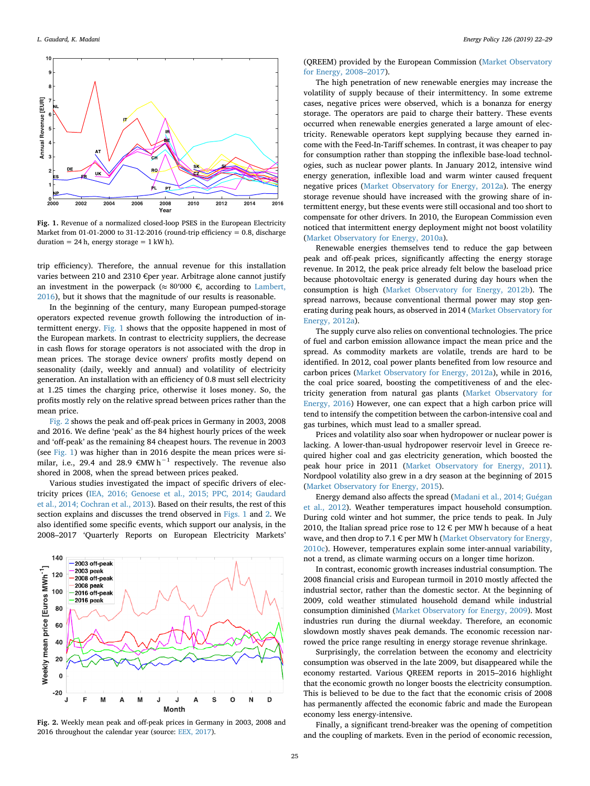<span id="page-3-0"></span>

**Fig. 1.** Revenue of a normalized closed-loop PSES in the European Electricity Market from 01-01-2000 to 31-12-2016 (round-trip efficiency =  $0.8$ , discharge duration = 24 h, energy storage =  $1 \text{ kW h}$ ).

trip efficiency). Therefore, the annual revenue for this installation varies between 210 and 2310 €per year. Arbitrage alone cannot justify an investment in the powerpack ( $\approx 80'000$  €, according to [Lambert,](#page-6-28) [2016\)](#page-6-28), but it shows that the magnitude of our results is reasonable.

In the beginning of the century, many European pumped-storage operators expected revenue growth following the introduction of intermittent energy. [Fig. 1](#page-3-0) shows that the opposite happened in most of the European markets. In contrast to electricity suppliers, the decrease in cash flows for storage operators is not associated with the drop in mean prices. The storage device owners' profits mostly depend on seasonality (daily, weekly and annual) and volatility of electricity generation. An installation with an efficiency of 0.8 must sell electricity at 1.25 times the charging price, otherwise it loses money. So, the profits mostly rely on the relative spread between prices rather than the mean price.

[Fig. 2](#page-3-1) shows the peak and off-peak prices in Germany in 2003, 2008 and 2016. We define 'peak' as the 84 highest hourly prices of the week and 'off-peak' as the remaining 84 cheapest hours. The revenue in 2003 (see [Fig. 1](#page-3-0)) was higher than in 2016 despite the mean prices were similar, i.e., 29.4 and 28.9 €MW h−1 respectively. The revenue also shored in 2008, when the spread between prices peaked.

Various studies investigated the impact of specific drivers of electricity prices [\(IEA, 2016; Genoese et al., 2015; PPC, 2014; Gaudard](#page-6-29) [et al., 2014; Cochran et al., 2013](#page-6-29)). Based on their results, the rest of this section explains and discusses the trend observed in [Figs. 1](#page-3-0) and [2](#page-3-1). We also identified some specific events, which support our analysis, in the 2008–2017 'Quarterly Reports on European Electricity Markets'

<span id="page-3-1"></span>

**Fig. 2.** Weekly mean peak and off-peak prices in Germany in 2003, 2008 and 2016 throughout the calendar year (source: [EEX, 2017](#page-6-40)).

(QREEM) provided by the European Commission ([Market Observatory](#page-6-30) [for Energy, 2008–2017\)](#page-6-30).

The high penetration of new renewable energies may increase the volatility of supply because of their intermittency. In some extreme cases, negative prices were observed, which is a bonanza for energy storage. The operators are paid to charge their battery. These events occurred when renewable energies generated a large amount of electricity. Renewable operators kept supplying because they earned income with the Feed-In-Tariff schemes. In contrast, it was cheaper to pay for consumption rather than stopping the inflexible base-load technologies, such as nuclear power plants. In January 2012, intensive wind energy generation, inflexible load and warm winter caused frequent negative prices [\(Market Observatory for Energy, 2012a](#page-6-31)). The energy storage revenue should have increased with the growing share of intermittent energy, but these events were still occasional and too short to compensate for other drivers. In 2010, the European Commission even noticed that intermittent energy deployment might not boost volatility ([Market Observatory for Energy, 2010a](#page-6-32)).

Renewable energies themselves tend to reduce the gap between peak and off-peak prices, significantly affecting the energy storage revenue. In 2012, the peak price already felt below the baseload price because photovoltaic energy is generated during day hours when the consumption is high ([Market Observatory for Energy, 2012b\)](#page-6-33). The spread narrows, because conventional thermal power may stop generating during peak hours, as observed in 2014 ([Market Observatory for](#page-6-31) [Energy, 2012a](#page-6-31)).

The supply curve also relies on conventional technologies. The price of fuel and carbon emission allowance impact the mean price and the spread. As commodity markets are volatile, trends are hard to be identified. In 2012, coal power plants benefited from low resource and carbon prices ([Market Observatory for Energy, 2012a\)](#page-6-31), while in 2016, the coal price soared, boosting the competitiveness of and the electricity generation from natural gas plants [\(Market Observatory for](#page-6-34) [Energy, 2016](#page-6-34)) However, one can expect that a high carbon price will tend to intensify the competition between the carbon-intensive coal and gas turbines, which must lead to a smaller spread.

Prices and volatility also soar when hydropower or nuclear power is lacking. A lower-than-usual hydropower reservoir level in Greece required higher coal and gas electricity generation, which boosted the peak hour price in 2011 ([Market Observatory for Energy, 2011](#page-6-35)). Nordpool volatility also grew in a dry season at the beginning of 2015 ([Market Observatory for Energy, 2015](#page-6-36)).

Energy demand also affects the spread [\(Madani et al., 2014; Guégan](#page-6-37) [et al., 2012\)](#page-6-37). Weather temperatures impact household consumption. During cold winter and hot summer, the price tends to peak. In July 2010, the Italian spread price rose to 12  $\epsilon$  per MW h because of a heat wave, and then drop to 7.1  $\epsilon$  per MW h [\(Market Observatory for Energy,](#page-6-38) [2010c](#page-6-38)). However, temperatures explain some inter-annual variability, not a trend, as climate warming occurs on a longer time horizon.

In contrast, economic growth increases industrial consumption. The 2008 financial crisis and European turmoil in 2010 mostly affected the industrial sector, rather than the domestic sector. At the beginning of 2009, cold weather stimulated household demand while industrial consumption diminished [\(Market Observatory for Energy, 2009\)](#page-6-39). Most industries run during the diurnal weekday. Therefore, an economic slowdown mostly shaves peak demands. The economic recession narrowed the price range resulting in energy storage revenue shrinkage.

Surprisingly, the correlation between the economy and electricity consumption was observed in the late 2009, but disappeared while the economy restarted. Various QREEM reports in 2015–2016 highlight that the economic growth no longer boosts the electricity consumption. This is believed to be due to the fact that the economic crisis of 2008 has permanently affected the economic fabric and made the European economy less energy-intensive.

Finally, a significant trend-breaker was the opening of competition and the coupling of markets. Even in the period of economic recession,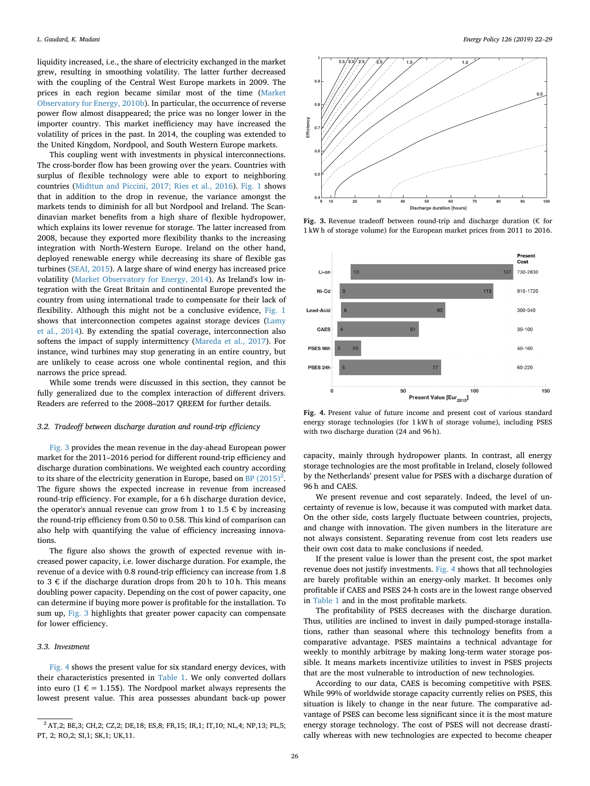liquidity increased, i.e., the share of electricity exchanged in the market grew, resulting in smoothing volatility. The latter further decreased with the coupling of the Central West Europe markets in 2009. The prices in each region became similar most of the time ([Market](#page-6-41) [Observatory for Energy, 2010b\)](#page-6-41). In particular, the occurrence of reverse power flow almost disappeared; the price was no longer lower in the importer country. This market inefficiency may have increased the volatility of prices in the past. In 2014, the coupling was extended to the United Kingdom, Nordpool, and South Western Europe markets.

This coupling went with investments in physical interconnections. The cross-border flow has been growing over the years. Countries with surplus of flexible technology were able to export to neighboring countries [\(Midttun and Piccini, 2017; Ries et al., 2016](#page-6-42)). [Fig. 1](#page-3-0) shows that in addition to the drop in revenue, the variance amongst the markets tends to diminish for all but Nordpool and Ireland. The Scandinavian market benefits from a high share of flexible hydropower, which explains its lower revenue for storage. The latter increased from 2008, because they exported more flexibility thanks to the increasing integration with North-Western Europe. Ireland on the other hand, deployed renewable energy while decreasing its share of flexible gas turbines ([SEAI, 2015\)](#page-7-7). A large share of wind energy has increased price volatility [\(Market Observatory for Energy, 2014\)](#page-6-43). As Ireland's low integration with the Great Britain and continental Europe prevented the country from using international trade to compensate for their lack of flexibility. Although this might not be a conclusive evidence, [Fig. 1](#page-3-0) shows that interconnection competes against storage devices [\(Lamy](#page-6-44) [et al., 2014\)](#page-6-44). By extending the spatial coverage, interconnection also softens the impact of supply intermittency ([Mareda et al., 2017](#page-6-45)). For instance, wind turbines may stop generating in an entire country, but are unlikely to cease across one whole continental region, and this narrows the price spread.

While some trends were discussed in this section, they cannot be fully generalized due to the complex interaction of different drivers. Readers are referred to the 2008–2017 QREEM for further details.

## *3.2. Tradeoff between discharge duration and round-trip efficiency*

[Fig. 3](#page-4-0) provides the mean revenue in the day-ahead European power market for the 2011–2016 period for different round-trip efficiency and discharge duration combinations. We weighted each country according to its share of the electricity generation in Europe, based on BP  $(2015)^2$  $(2015)^2$  $(2015)^2$ . The figure shows the expected increase in revenue from increased round-trip efficiency. For example, for a 6 h discharge duration device, the operator's annual revenue can grow from 1 to 1.5  $\epsilon$  by increasing the round-trip efficiency from 0.50 to 0.58. This kind of comparison can also help with quantifying the value of efficiency increasing innovations.

The figure also shows the growth of expected revenue with increased power capacity, i.e. lower discharge duration. For example, the revenue of a device with 0.8 round-trip efficiency can increase from 1.8 to  $3 \notin \mathbb{R}$  if the discharge duration drops from 20 h to 10 h. This means doubling power capacity. Depending on the cost of power capacity, one can determine if buying more power is profitable for the installation. To sum up, [Fig. 3](#page-4-0) highlights that greater power capacity can compensate for lower efficiency.

## *3.3. Investment*

[Fig. 4](#page-4-2) shows the present value for six standard energy devices, with their characteristics presented in [Table 1](#page-2-1). We only converted dollars into euro (1  $\epsilon$  = 1.15\$). The Nordpool market always represents the lowest present value. This area possesses abundant back-up power

<span id="page-4-0"></span>

**Fig. 3.** Revenue tradeoff between round-trip and discharge duration ( $\epsilon$  for 1 kW h of storage volume) for the European market prices from 2011 to 2016.

<span id="page-4-2"></span>

**Fig. 4.** Present value of future income and present cost of various standard energy storage technologies (for 1 kW h of storage volume), including PSES with two discharge duration (24 and 96 h).

capacity, mainly through hydropower plants. In contrast, all energy storage technologies are the most profitable in Ireland, closely followed by the Netherlands' present value for PSES with a discharge duration of 96 h and CAES.

We present revenue and cost separately. Indeed, the level of uncertainty of revenue is low, because it was computed with market data. On the other side, costs largely fluctuate between countries, projects, and change with innovation. The given numbers in the literature are not always consistent. Separating revenue from cost lets readers use their own cost data to make conclusions if needed.

If the present value is lower than the present cost, the spot market revenue does not justify investments. [Fig. 4](#page-4-2) shows that all technologies are barely profitable within an energy-only market. It becomes only profitable if CAES and PSES 24-h costs are in the lowest range observed in [Table 1](#page-2-1) and in the most profitable markets.

The profitability of PSES decreases with the discharge duration. Thus, utilities are inclined to invest in daily pumped-storage installations, rather than seasonal where this technology benefits from a comparative advantage. PSES maintains a technical advantage for weekly to monthly arbitrage by making long-term water storage possible. It means markets incentivize utilities to invest in PSES projects that are the most vulnerable to introduction of new technologies.

According to our data, CAES is becoming competitive with PSES. While 99% of worldwide storage capacity currently relies on PSES, this situation is likely to change in the near future. The comparative advantage of PSES can become less significant since it is the most mature energy storage technology. The cost of PSES will not decrease drastically whereas with new technologies are expected to become cheaper

<span id="page-4-1"></span><sup>&</sup>lt;sup>2</sup> AT, 2; BE, 3; CH, 2; CZ, 2; DE, 18; ES, 8; FR, 15; IR, 1; IT, 10; NL, 4; NP, 13; PL, 5; PT, 2; RO,2; SI,1; SK,1; UK,11.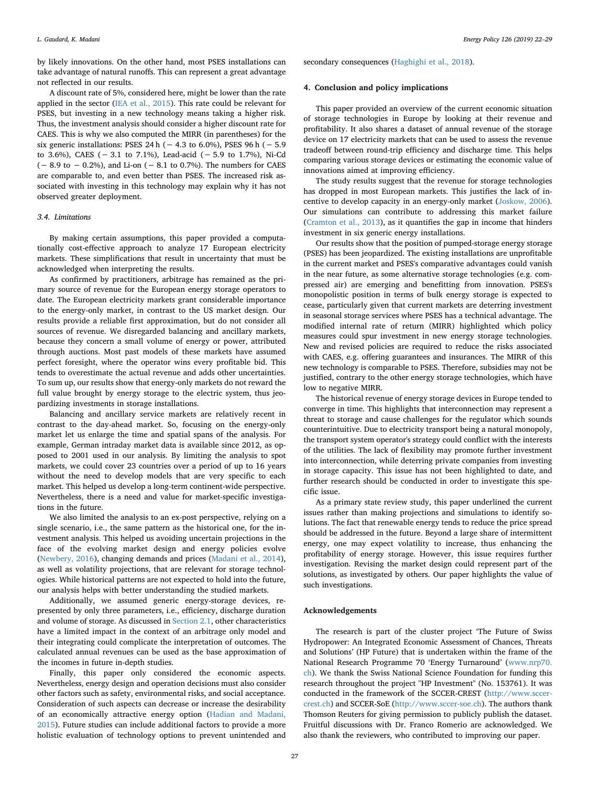by likely innovations. On the other hand, most PSES installations can take advantage of natural runoffs. This can represent a great advantage not reflected in our results.

A discount rate of 5%, considered here, might be lower than the rate applied in the sector [\(IEA et al., 2015](#page-6-47)). This rate could be relevant for PSES, but investing in a new technology means taking a higher risk. Thus, the investment analysis should consider a higher discount rate for CAES. This is why we also computed the MIRR (in parentheses) for the six generic installations: PSES 24 h (− 4.3 to 6.0%), PSES 96 h (− 5.9 to 3.6%), CAES (− 3.1 to 7.1%), Lead-acid (− 5.9 to 1.7%), Ni-Cd  $(-8.9 \text{ to } -0.2\%)$ , and Li-on  $(-8.1 \text{ to } 0.7\%)$ . The numbers for CAES are comparable to, and even better than PSES. The increased risk associated with investing in this technology may explain why it has not observed greater deployment.

## *3.4. Limitations*

By making certain assumptions, this paper provided a computationally cost-effective approach to analyze 17 European electricity markets. These simplifications that result in uncertainty that must be acknowledged when interpreting the results.

As confirmed by practitioners, arbitrage has remained as the primary source of revenue for the European energy storage operators to date. The European electricity markets grant considerable importance to the energy-only market, in contrast to the US market design. Our results provide a reliable first approximation, but do not consider all sources of revenue. We disregarded balancing and ancillary markets, because they concern a small volume of energy or power, attributed through auctions. Most past models of these markets have assumed perfect foresight, where the operator wins every profitable bid. This tends to overestimate the actual revenue and adds other uncertainties. To sum up, our results show that energy-only markets do not reward the full value brought by energy storage to the electric system, thus jeopardizing investments in storage installations.

Balancing and ancillary service markets are relatively recent in contrast to the day-ahead market. So, focusing on the energy-only market let us enlarge the time and spatial spans of the analysis. For example, German intraday market data is available since 2012, as opposed to 2001 used in our analysis. By limiting the analysis to spot markets, we could cover 23 countries over a period of up to 16 years without the need to develop models that are very specific to each market. This helped us develop a long-term continent-wide perspective. Nevertheless, there is a need and value for market-specific investigations in the future.

We also limited the analysis to an ex-post perspective, relying on a single scenario, i.e., the same pattern as the historical one, for the investment analysis. This helped us avoiding uncertain projections in the face of the evolving market design and energy policies evolve ([Newbery, 2016\)](#page-6-48), changing demands and prices ([Madani et al., 2014](#page-6-37)), as well as volatility projections, that are relevant for storage technologies. While historical patterns are not expected to hold into the future, our analysis helps with better understanding the studied markets.

Additionally, we assumed generic energy-storage devices, represented by only three parameters, i.e., efficiency, discharge duration and volume of storage. As discussed in [Section 2.1](#page-1-0), other characteristics have a limited impact in the context of an arbitrage only model and their integrating could complicate the interpretation of outcomes. The calculated annual revenues can be used as the base approximation of the incomes in future in-depth studies.

Finally, this paper only considered the economic aspects. Nevertheless, energy design and operation decisions must also consider other factors such as safety, environmental risks, and social acceptance. Consideration of such aspects can decrease or increase the desirability of an economically attractive energy option ([Hadian and Madani,](#page-6-49) [2015\)](#page-6-49). Future studies can include additional factors to provide a more holistic evaluation of technology options to prevent unintended and secondary consequences [\(Haghighi et al., 2018\)](#page-6-50).

## **4. Conclusion and policy implications**

This paper provided an overview of the current economic situation of storage technologies in Europe by looking at their revenue and profitability. It also shares a dataset of annual revenue of the storage device on 17 electricity markets that can be used to assess the revenue tradeoff between round-trip efficiency and discharge time. This helps comparing various storage devices or estimating the economic value of innovations aimed at improving efficiency.

The study results suggest that the revenue for storage technologies has dropped in most European markets. This justifies the lack of incentive to develop capacity in an energy-only market [\(Joskow, 2006](#page-6-51)). Our simulations can contribute to addressing this market failure ([Cramton et al., 2013\)](#page-6-52), as it quantifies the gap in income that hinders investment in six generic energy installations.

Our results show that the position of pumped-storage energy storage (PSES) has been jeopardized. The existing installations are unprofitable in the current market and PSES's comparative advantages could vanish in the near future, as some alternative storage technologies (e.g. compressed air) are emerging and benefitting from innovation. PSES's monopolistic position in terms of bulk energy storage is expected to cease, particularly given that current markets are deterring investment in seasonal storage services where PSES has a technical advantage. The modified internal rate of return (MIRR) highlighted which policy measures could spur investment in new energy storage technologies. New and revised policies are required to reduce the risks associated with CAES, e.g. offering guarantees and insurances. The MIRR of this new technology is comparable to PSES. Therefore, subsidies may not be justified, contrary to the other energy storage technologies, which have low to negative MIRR.

The historical revenue of energy storage devices in Europe tended to converge in time. This highlights that interconnection may represent a threat to storage and cause challenges for the regulator which sounds counterintuitive. Due to electricity transport being a natural monopoly, the transport system operator's strategy could conflict with the interests of the utilities. The lack of flexibility may promote further investment into interconnection, while deterring private companies from investing in storage capacity. This issue has not been highlighted to date, and further research should be conducted in order to investigate this specific issue.

As a primary state review study, this paper underlined the current issues rather than making projections and simulations to identify solutions. The fact that renewable energy tends to reduce the price spread should be addressed in the future. Beyond a large share of intermittent energy, one may expect volatility to increase, thus enhancing the profitability of energy storage. However, this issue requires further investigation. Revising the market design could represent part of the solutions, as investigated by others. Our paper highlights the value of such investigations.

## **Acknowledgements**

The research is part of the cluster project 'The Future of Swiss Hydropower: An Integrated Economic Assessment of Chances, Threats and Solutions' (HP Future) that is undertaken within the frame of the National Research Programme 70 'Energy Turnaround' [\(www.nrp70.](http://www.nrp70.ch) [ch\)](http://www.nrp70.ch). We thank the Swiss National Science Foundation for funding this research throughout the project "HP Investment" (No. 153761). It was conducted in the framework of the SCCER-CREST [\(http://www.sccer](http://www.sccer-crest.ch)[crest.ch\)](http://www.sccer-crest.ch) and SCCER-SoE (<http://www.sccer-soe.ch>). The authors thank Thomson Reuters for giving permission to publicly publish the dataset. Fruitful discussions with Dr. Franco Romerio are acknowledged. We also thank the reviewers, who contributed to improving our paper.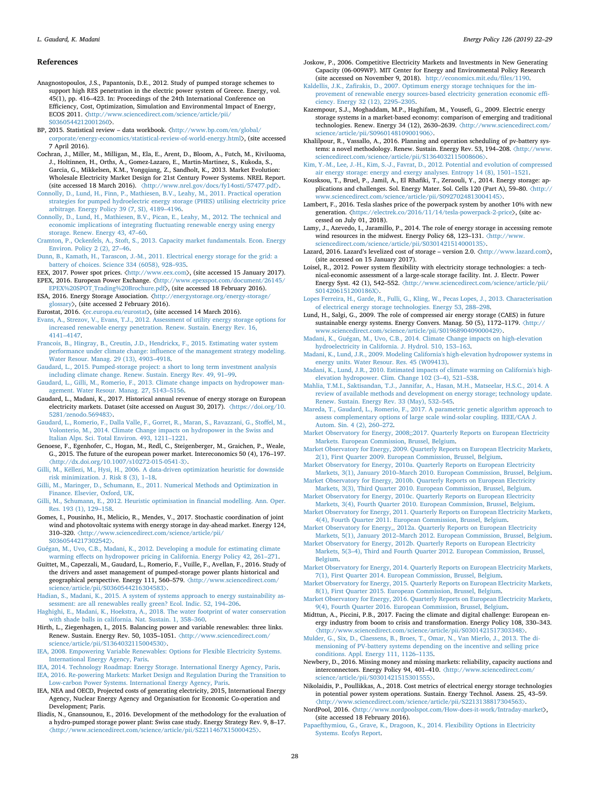#### **References**

- <span id="page-6-4"></span>Anagnostopoulos, J.S., Papantonis, D.E., 2012. Study of pumped storage schemes to support high RES penetration in the electric power system of Greece. Energy, vol. 45(1), pp. 416–423. In: Proceedings of the 24th International Conference on Efficiency, Cost, Optimization, Simulation and Environmental Impact of Energy, ECOS 2011. 〈[http://www.sciencedirect.com/science/article/pii/](http://www.sciencedirect.com/science/article/pii/S0360544212001260) [S0360544212001260](http://www.sciencedirect.com/science/article/pii/S0360544212001260)〉.
- <span id="page-6-46"></span>BP, 2015. Statistical review – data workbook. [〈http://www.bp.com/en/global/](http://www.bp.com/en/global/corporate/energy-economics/statistical-review-of-world-energy.html) [corporate/energy-economics/statistical-review-of-world-energy.html](http://www.bp.com/en/global/corporate/energy-economics/statistical-review-of-world-energy.html)〉, (site accessed 7 April 2016).
- <span id="page-6-29"></span>Cochran, J., Miller, M., Milligan, M., Ela, E., Arent, D., Bloom, A., Futch, M., Kiviluoma, J., Holtinnen, H., Orths, A., Gomez-Lazaro, E., Martin-Martinez, S., Kukoda, S., Garcia, G., Mikkelsen, K.M., Yongqiang, Z., Sandholt, K., 2013. Market Evolution: Wholesale Electricity Market Design for 21st Century Power Systems. NREL Report. (site accessed 18 March 2016). [〈http://www.nrel.gov/docs/fy14osti/57477.pdf〉.](http://www.nrel.gov/docs/fy14osti/57477.pdf)
- <span id="page-6-6"></span>[Connolly, D., Lund, H., Finn, P., Mathiesen, B.V., Leahy, M., 2011. Practical operation](http://refhub.elsevier.com/S0301-4215(18)30726-2/sbref2) [strategies for pumped hydroelectric energy storage \(PHES\) utilising electricity price](http://refhub.elsevier.com/S0301-4215(18)30726-2/sbref2) [arbitrage. Energy Policy 39 \(7, SI\), 4189–4196](http://refhub.elsevier.com/S0301-4215(18)30726-2/sbref2).
- <span id="page-6-3"></span>[Connolly, D., Lund, H., Mathiesen, B.V., Pican, E., Leahy, M., 2012. The technical and](http://refhub.elsevier.com/S0301-4215(18)30726-2/sbref3) [economic implications of integrating fluctuating renewable energy using energy](http://refhub.elsevier.com/S0301-4215(18)30726-2/sbref3) [storage. Renew. Energy 43, 47–60](http://refhub.elsevier.com/S0301-4215(18)30726-2/sbref3).
- <span id="page-6-52"></span>[Cramton, P., Ockenfels, A., Stoft, S., 2013. Capacity market fundamentals. Econ. Energy](http://refhub.elsevier.com/S0301-4215(18)30726-2/sbref4) [Environ. Policy 2 \(2\), 27–46.](http://refhub.elsevier.com/S0301-4215(18)30726-2/sbref4)
- [Dunn, B., Kamath, H., Tarascon, J.-M., 2011. Electrical energy storage for the grid: a](http://refhub.elsevier.com/S0301-4215(18)30726-2/sbref5) [battery of choices. Science 334 \(6058\), 928–935.](http://refhub.elsevier.com/S0301-4215(18)30726-2/sbref5)
- <span id="page-6-40"></span>EEX, 2017. Power spot prices.  $\langle$ <http://www.eex.com> $\rangle$ , (site accessed 15 January 2017). EPEX, 2016. European Power Exchange. 〈[http://www.epexspot.com/document/26145/](http://www.epexspot.com/document/26145/EPEX%20SPOT_Trading%20Brochure.pdf)

<span id="page-6-12"></span>[EPEX%20SPOT\\_Trading%20Brochure.pdf](http://www.epexspot.com/document/26145/EPEX%20SPOT_Trading%20Brochure.pdf)〉, (site accessed 18 February 2016). ESA, 2016. Energy Storage Association. [〈http://energystorage.org/energy-storage/](http://energystorage.org/energy-storage/glossary)

[glossary](http://energystorage.org/energy-storage/glossary)〉, (site accessed 2 February 2016).

<span id="page-6-21"></span>Eurostat, 2016. [〈ec.europa.eu/eurostat](http://www.ec.europa.eu/eurostat)〉, (site accessed 14 March 2016).

- <span id="page-6-27"></span>[Evans, A., Strezov, V., Evans, T.J., 2012. Assessment of utility energy storage options for](http://refhub.elsevier.com/S0301-4215(18)30726-2/sbref6) [increased renewable energy penetration. Renew. Sustain. Energy Rev. 16,](http://refhub.elsevier.com/S0301-4215(18)30726-2/sbref6) [4141–4147](http://refhub.elsevier.com/S0301-4215(18)30726-2/sbref6).
- <span id="page-6-17"></span>[Francois, B., Hingray, B., Creutin, J.D., Hendrickx, F., 2015. Estimating water system](http://refhub.elsevier.com/S0301-4215(18)30726-2/sbref7) [performance under climate change: influence of the management strategy modeling.](http://refhub.elsevier.com/S0301-4215(18)30726-2/sbref7) [Water Resour. Manag. 29 \(13\), 4903–4918.](http://refhub.elsevier.com/S0301-4215(18)30726-2/sbref7)
- [Gaudard, L., 2015. Pumped-storage project: a short to long term investment analysis](http://refhub.elsevier.com/S0301-4215(18)30726-2/sbref8) [including climate change. Renew. Sustain. Energy Rev. 49, 91–99](http://refhub.elsevier.com/S0301-4215(18)30726-2/sbref8).
- <span id="page-6-16"></span>[Gaudard, L., Gilli, M., Romerio, F., 2013. Climate change impacts on hydropower man](http://refhub.elsevier.com/S0301-4215(18)30726-2/sbref9)[agement. Water Resour. Manag. 27, 5143–5156.](http://refhub.elsevier.com/S0301-4215(18)30726-2/sbref9)
- <span id="page-6-11"></span>Gaudard, L., Madani, K., 2017. Historical annual revenue of energy storage on European electricity markets. Dataset (site accessed on August 30, 2017).  $\langle\text{https://doi.org/10.}$ [5281/zenodo.569483〉.](https://doi.org/10.5281/zenodo.569483)
- [Gaudard, L., Romerio, F., Dalla Valle, F., Gorret, R., Maran, S., Ravazzani, G., Stoffel, M.,](http://refhub.elsevier.com/S0301-4215(18)30726-2/sbref11) [Volonterio, M., 2014. Climate Change impacts on hydropower in the Swiss and](http://refhub.elsevier.com/S0301-4215(18)30726-2/sbref11) [Italian Alps. Sci. Total Environ. 493, 1211–1221.](http://refhub.elsevier.com/S0301-4215(18)30726-2/sbref11)
- Genoese, F., Egenhofer, C., Hogan, M., Redl, C., Steigenberger, M., Graichen, P., Weale, G., 2015. The future of the european power market. Intereconomics 50 (4), 176–197. [〈http://dx.doi.org/10.1007/s10272-015-0541-3〉](http://dx.doi.org/10.1007/s10272-015-0541-3).
- <span id="page-6-19"></span>[Gilli, M., Këllezi, M., Hysi, H., 2006. A data-driven optimization heuristic for downside](http://refhub.elsevier.com/S0301-4215(18)30726-2/sbref13) [risk minimization. J. Risk 8 \(3\), 1–18.](http://refhub.elsevier.com/S0301-4215(18)30726-2/sbref13)

[Gilli, M., Maringer, D., Schumann, E., 2011. Numerical Methods and Optimization in](http://refhub.elsevier.com/S0301-4215(18)30726-2/sbref14) [Finance. Elsevier, Oxford, UK.](http://refhub.elsevier.com/S0301-4215(18)30726-2/sbref14)

- <span id="page-6-18"></span>[Gilli, M., Schumann, E., 2012. Heuristic optimisation in financial modelling. Ann. Oper.](http://refhub.elsevier.com/S0301-4215(18)30726-2/sbref15) [Res. 193 \(1\), 129–158](http://refhub.elsevier.com/S0301-4215(18)30726-2/sbref15).
- <span id="page-6-2"></span>Gomes, I., Pousinho, H., Melicio, R., Mendes, V., 2017. Stochastic coordination of joint wind and photovoltaic systems with energy storage in day-ahead market. Energy 124, 310–320. [〈http://www.sciencedirect.com/science/article/pii/](http://www.sciencedirect.com/science/article/pii/S0360544217302542) [S0360544217302542〉](http://www.sciencedirect.com/science/article/pii/S0360544217302542).

[Guégan, M., Uvo, C.B., Madani, K., 2012. Developing a module for estimating climate](http://refhub.elsevier.com/S0301-4215(18)30726-2/sbref17) [warming effects on hydropower pricing in California. Energy Policy 42, 261–271](http://refhub.elsevier.com/S0301-4215(18)30726-2/sbref17).

- <span id="page-6-13"></span>Guittet, M., Capezzali, M., Gaudard, L., Romerio, F., Vuille, F., Avellan, F., 2016. Study of the drivers and asset management of pumped-storage power plants historical and geographical perspective. Energy 111, 560–579. [〈http://www.sciencedirect.com/](http://www.sciencedirect.com/science/article/pii/S0360544216304583) [science/article/pii/S0360544216304583〉](http://www.sciencedirect.com/science/article/pii/S0360544216304583).
- <span id="page-6-49"></span>[Hadian, S., Madani, K., 2015. A system of systems approach to energy sustainability as](http://refhub.elsevier.com/S0301-4215(18)30726-2/sbref19)[sessment: are all renewables really green? Ecol. Indic. 52, 194–206](http://refhub.elsevier.com/S0301-4215(18)30726-2/sbref19).

<span id="page-6-50"></span>[Haghighi, E., Madani, K., Hoekstra, A., 2018. The water footprint of water conservation](http://refhub.elsevier.com/S0301-4215(18)30726-2/sbref20) [with shade balls in california. Nat. Sustain. 1, 358–360.](http://refhub.elsevier.com/S0301-4215(18)30726-2/sbref20)

<span id="page-6-20"></span>Hirth, L., Ziegenhagen, I., 2015. Balancing power and variable renewables: three links. Renew. Sustain. Energy Rev. 50, 1035–1051. [〈http://www.sciencedirect.com/](http://www.sciencedirect.com/science/article/pii/S1364032115004530) [science/article/pii/S1364032115004530〉](http://www.sciencedirect.com/science/article/pii/S1364032115004530).

<span id="page-6-1"></span>[IEA, 2008. Empowering Variable Renewables: Options for Flexible Electricity Systems.](http://refhub.elsevier.com/S0301-4215(18)30726-2/sbref22) [International Energy Agency, Paris.](http://refhub.elsevier.com/S0301-4215(18)30726-2/sbref22)

- <span id="page-6-7"></span>[IEA, 2014. Technology Roadmap: Energy Storage. International Energy Agency, Paris](http://refhub.elsevier.com/S0301-4215(18)30726-2/sbref23). [IEA, 2016. Re-powering Markets: Market Design and Regulation During the Transition to](http://refhub.elsevier.com/S0301-4215(18)30726-2/sbref24) [Low-carbon Power Systems. International Energy Agency, Paris](http://refhub.elsevier.com/S0301-4215(18)30726-2/sbref24).
- <span id="page-6-47"></span>IEA, NEA and OECD, Projected costs of generating electricity, 2015, International Energy Agency, Nuclear Energy Agency and Organisation for Economic Co-operation and Development; Paris.
- <span id="page-6-5"></span>Iliadis, N., Gnansounou, E., 2016. Development of the methodology for the evaluation of a hydro-pumped storage power plant: Swiss case study. Energy Strategy Rev. 9, 8–17. [〈http://www.sciencedirect.com/science/article/pii/S2211467X15000425〉.](http://www.sciencedirect.com/science/article/pii/S2211467X15000425)
- <span id="page-6-51"></span>Joskow, P., 2006. Competitive Electricity Markets and Investments in New Generating Capacity (06-009WP). MIT Center for Energy and Environmental Policy Research (site accessed on November 9, 2018). [http://economics.mit.edu/files/1190.](http://economics.mit.edu/files/1190)
- <span id="page-6-22"></span>[Kaldellis, J.K., Zafirakis, D., 2007. Optimum energy storage techniques for the im](http://refhub.elsevier.com/S0301-4215(18)30726-2/sbref27)[provement of renewable energy sources-based electricity generation economic effi](http://refhub.elsevier.com/S0301-4215(18)30726-2/sbref27)[ciency. Energy 32 \(12\), 2295–2305](http://refhub.elsevier.com/S0301-4215(18)30726-2/sbref27).
- <span id="page-6-10"></span>Kazempour, S.J., Moghaddam, M.P., Haghifam, M., Yousefi, G., 2009. Electric energy storage systems in a market-based economy: comparison of emerging and traditional technologies. Renew. Energy 34 (12), 2630-2639. <http://www.sciencedirect.com/ [science/article/pii/S0960148109001906〉](http://www.sciencedirect.com/science/article/pii/S0960148109001906).
- Khalilpour, R., Vassallo, A., 2016. Planning and operation scheduling of pv-battery systems: a novel methodology. Renew. Sustain. Energy Rev. 53, 194–208. [〈http://www.](http://www.sciencedirect.com/science/article/pii/S1364032115008606) [sciencedirect.com/science/article/pii/S1364032115008606〉.](http://www.sciencedirect.com/science/article/pii/S1364032115008606)
- <span id="page-6-14"></span>[Kim, Y.-M., Lee, J.-H., Kim, S.-J., Favrat, D., 2012. Potential and evolution of compressed](http://refhub.elsevier.com/S0301-4215(18)30726-2/sbref30) [air energy storage: energy and exergy analyses. Entropy 14 \(8\), 1501–1521.](http://refhub.elsevier.com/S0301-4215(18)30726-2/sbref30)
- <span id="page-6-25"></span>Kousksou, T., Bruel, P., Jamil, A., El Rhafiki, T., Zeraouli, Y., 2014. Energy storage: applications and challenges. Sol. Energy Mater. Sol. Cells 120 (Part A), 59–80. [〈http://](http://www.sciencedirect.com/science/article/pii/S0927024813004145) [www.sciencedirect.com/science/article/pii/S0927024813004145〉.](http://www.sciencedirect.com/science/article/pii/S0927024813004145)
- <span id="page-6-28"></span>Lambert, F., 2016. Tesla slashes price of the powerpack system by another 10% with new generation. 〈<https://electrek.co/2016/11/14/tesla-powerpack-2-price>〉, (site accessed on July 01, 2018).
- <span id="page-6-44"></span>Lamy, J., Azevedo, I., Jaramillo, P., 2014. The role of energy storage in accessing remote wind resources in the midwest. Energy Policy 68, 123–131. <http://www. [sciencedirect.com/science/article/pii/S0301421514000135〉.](http://www.sciencedirect.com/science/article/pii/S0301421514000135)
- <span id="page-6-24"></span>Lazard, 2016. Lazard's levelized cost of storage – version 2.0. [〈http://www.lazard.com〉](http://www.lazard.com), (site accessed on 15 January 2017).
- <span id="page-6-9"></span>Loisel, R., 2012. Power system flexibility with electricity storage technologies: a technical-economic assessment of a large-scale storage facility. Int. J. Electr. Power Energy Syst. 42 (1), 542–552. [〈http://www.sciencedirect.com/science/article/pii/](http://www.sciencedirect.com/science/article/pii/S014206151200186X) [S014206151200186X〉.](http://www.sciencedirect.com/science/article/pii/S014206151200186X)

<span id="page-6-26"></span>[Lopes Ferreira, H., Garde, R., Fulli, G., Kling, W., Pecas Lopes, J., 2013. Characterisation](http://refhub.elsevier.com/S0301-4215(18)30726-2/sbref34) [of electrical energy storage technologies. Energy 53, 288–298.](http://refhub.elsevier.com/S0301-4215(18)30726-2/sbref34)

- <span id="page-6-8"></span>Lund, H., Salgi, G., 2009. The role of compressed air energy storage (CAES) in future sustainable energy systems. Energy Convers. Manag. 50 (5), 1172–1179. [〈http://](http://www.sciencedirect.com/science/article/pii/S0196890409000429) [www.sciencedirect.com/science/article/pii/S0196890409000429〉.](http://www.sciencedirect.com/science/article/pii/S0196890409000429)
- <span id="page-6-37"></span>[Madani, K., Guégan, M., Uvo, C.B., 2014. Climate Change impacts on high-elevation](http://refhub.elsevier.com/S0301-4215(18)30726-2/sbref36) [hydroelectricity in California. J. Hydrol. 510, 153–163.](http://refhub.elsevier.com/S0301-4215(18)30726-2/sbref36)
- [Madani, K., Lund, J.R., 2009. Modeling California's high-elevation hydropower systems in](http://refhub.elsevier.com/S0301-4215(18)30726-2/sbref37) [energy units. Water Resour. Res. 45 \(W09413\).](http://refhub.elsevier.com/S0301-4215(18)30726-2/sbref37)
- [Madani, K., Lund, J.R., 2010. Estimated impacts of climate warming on California's high](http://refhub.elsevier.com/S0301-4215(18)30726-2/sbref38)[elevation hydropower. Clim. Change 102 \(3–4\), 521–538.](http://refhub.elsevier.com/S0301-4215(18)30726-2/sbref38)
- <span id="page-6-15"></span>[Mahlia, T.M.I., Saktisandan, T.J., Jannifar, A., Hasan, M.H., Matseelar, H.S.C., 2014. A](http://refhub.elsevier.com/S0301-4215(18)30726-2/sbref39) [review of available methods and development on energy storage; technology update.](http://refhub.elsevier.com/S0301-4215(18)30726-2/sbref39) [Renew. Sustain. Energy Rev. 33 \(May\), 532–545](http://refhub.elsevier.com/S0301-4215(18)30726-2/sbref39).
- <span id="page-6-45"></span>[Mareda, T., Gaudard, L., Romerio, F., 2017. A parametric genetic algorithm approach to](http://refhub.elsevier.com/S0301-4215(18)30726-2/sbref40) [assess complementary options of large scale wind-solar coupling. IEEE/CAA J.](http://refhub.elsevier.com/S0301-4215(18)30726-2/sbref40) [Autom. Sin. 4 \(2\), 260–272.](http://refhub.elsevier.com/S0301-4215(18)30726-2/sbref40)
- <span id="page-6-30"></span>[Market Observatory for Energy, 2008;;2017. Quarterly Reports on European Electricity](http://refhub.elsevier.com/S0301-4215(18)30726-2/sbref41) [Markets. European Commission, Brussel, Belgium](http://refhub.elsevier.com/S0301-4215(18)30726-2/sbref41).
- <span id="page-6-39"></span>[Market Observatory for Energy, 2009. Quarterly Reports on European Electricity Markets,](http://refhub.elsevier.com/S0301-4215(18)30726-2/sbref42) [2\(1\), First Quarter 2009. European Commission, Brussel, Belgium.](http://refhub.elsevier.com/S0301-4215(18)30726-2/sbref42)
- <span id="page-6-32"></span>[Market Observatory for Energy, 2010a. Quarterly Reports on European Electricity](http://refhub.elsevier.com/S0301-4215(18)30726-2/sbref43) [Markets, 3\(1\), January 2010–March 2010. European Commission, Brussel, Belgium.](http://refhub.elsevier.com/S0301-4215(18)30726-2/sbref43)
- <span id="page-6-41"></span>[Market Observatory for Energy, 2010b. Quarterly Reports on European Electricity](http://refhub.elsevier.com/S0301-4215(18)30726-2/sbref44) [Markets, 3\(3\), Third Quarter 2010. European Commission, Brussel, Belgium](http://refhub.elsevier.com/S0301-4215(18)30726-2/sbref44).
- <span id="page-6-38"></span>[Market Observatory for Energy, 2010c. Quarterly Reports on European Electricity](http://refhub.elsevier.com/S0301-4215(18)30726-2/sbref45) [Markets, 3\(4\), Fourth Quarter 2010. European Commission, Brussel, Belgium.](http://refhub.elsevier.com/S0301-4215(18)30726-2/sbref45)
- <span id="page-6-35"></span>[Market Observatory for Energy, 2011. Quarterly Reports on European Electricity Markets,](http://refhub.elsevier.com/S0301-4215(18)30726-2/sbref46) [4\(4\), Fourth Quarter 2011. European Commission, Brussel, Belgium](http://refhub.elsevier.com/S0301-4215(18)30726-2/sbref46).
- <span id="page-6-31"></span>[Market Observatory for Energy,, 2012a. Quarterly Reports on European Electricity](http://refhub.elsevier.com/S0301-4215(18)30726-2/sbref47) [Markets, 5\(1\), January 2012–March 2012. European Commission, Brussel, Belgium.](http://refhub.elsevier.com/S0301-4215(18)30726-2/sbref47)
- <span id="page-6-33"></span>[Market Observatory for Energy, 2012b. Quarterly Reports on European Electricity](http://refhub.elsevier.com/S0301-4215(18)30726-2/sbref48) [Markets, 5\(3–4\), Third and Fourth Quarter 2012. European Commission, Brussel,](http://refhub.elsevier.com/S0301-4215(18)30726-2/sbref48) [Belgium.](http://refhub.elsevier.com/S0301-4215(18)30726-2/sbref48)
- <span id="page-6-43"></span>[Market Observatory for Energy, 2014. Quarterly Reports on European Electricity Markets,](http://refhub.elsevier.com/S0301-4215(18)30726-2/sbref49) [7\(1\), First Quarter 2014. European Commission, Brussel, Belgium.](http://refhub.elsevier.com/S0301-4215(18)30726-2/sbref49)
- <span id="page-6-36"></span>[Market Observatory for Energy, 2015. Quarterly Reports on European Electricity Markets,](http://refhub.elsevier.com/S0301-4215(18)30726-2/sbref50) [8\(1\), First Quarter 2015. European Commission, Brussel, Belgium.](http://refhub.elsevier.com/S0301-4215(18)30726-2/sbref50)

<span id="page-6-34"></span>[Market Observatory for Energy, 2016. Quarterly Reports on European Electricity Markets,](http://refhub.elsevier.com/S0301-4215(18)30726-2/sbref51) [9\(4\), Fourth Quarter 2016. European Commission, Brussel, Belgium](http://refhub.elsevier.com/S0301-4215(18)30726-2/sbref51).

- <span id="page-6-42"></span>Midttun, A., Piccini, P.B., 2017. Facing the climate and digital challenge: European energy industry from boom to crisis and transformation. Energy Policy 108, 330–343. [〈http://www.sciencedirect.com/science/article/pii/S0301421517303348〉](http://www.sciencedirect.com/science/article/pii/S0301421517303348).
- [Mulder, G., Six, D., Claessens, B., Broes, T., Omar, N., Van Mierlo, J., 2013. The di](http://refhub.elsevier.com/S0301-4215(18)30726-2/sbref53)[mensioning of PV-battery systems depending on the incentive and selling price](http://refhub.elsevier.com/S0301-4215(18)30726-2/sbref53) [conditions. Appl. Energy 111, 1126–1135](http://refhub.elsevier.com/S0301-4215(18)30726-2/sbref53).
- <span id="page-6-48"></span>Newbery, D., 2016. Missing money and missing markets: reliability, capacity auctions and interconnectors. Energy Policy 94, 401-410. <http://www.sciencedirect.com/ [science/article/pii/S0301421515301555〉](http://www.sciencedirect.com/science/article/pii/S0301421515301555).

<span id="page-6-23"></span>Nikolaidis, P., Poullikkas, A., 2018. Cost metrics of electrical energy storage technologies in potential power system operations. Sustain. Energy Technol. Assess. 25, 43–59. [〈http://www.sciencedirect.com/science/article/pii/S2213138817304563〉](http://www.sciencedirect.com/science/article/pii/S2213138817304563).

NordPool, 2016. 〈<http://www.nordpoolspot.com/How-does-it-work/Intraday-market>〉, (site accessed 18 February 2016).

<span id="page-6-0"></span>[Papaefthymiou, G., Grave, K., Dragoon, K., 2014. Flexibility Options in Electricity](http://refhub.elsevier.com/S0301-4215(18)30726-2/sbref56) [Systems. Ecofys Report](http://refhub.elsevier.com/S0301-4215(18)30726-2/sbref56).